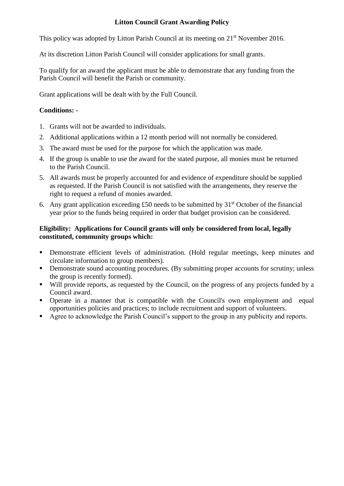## **Litton Council Grant Awarding Policy**

This policy was adopted by Litton Parish Council at its meeting on 21<sup>st</sup> November 2016.

At its discretion Litton Parish Council will consider applications for small grants.

To qualify for an award the applicant must be able to demonstrate that any funding from the Parish Council will benefit the Parish or community.

Grant applications will be dealt with by the Full Council.

## **Conditions: -**

- 1. Grants will not be awarded to individuals.
- 2. Additional applications within a 12 month period will not normally be considered.
- 3. The award must be used for the purpose for which the application was made.
- 4. If the group is unable to use the award for the stated purpose, all monies must be returned to the Parish Council.
- 5. All awards must be properly accounted for and evidence of expenditure should be supplied as requested. If the Parish Council is not satisfied with the arrangements, they reserve the right to request a refund of monies awarded.
- 6. Any grant application exceeding £50 needs to be submitted by  $31<sup>st</sup>$  October of the financial year prior to the funds being required in order that budget provision can be considered.

## **Eligibility: Applications for Council grants will only be considered from local, legally constituted, community groups which:**

- Demonstrate efficient levels of administration. (Hold regular meetings, keep minutes and circulate information to group members).
- **•** Demonstrate sound accounting procedures. (By submitting proper accounts for scrutiny; unless the group is recently formed).
- Will provide reports, as requested by the Council, on the progress of any projects funded by a Council award.
- Operate in a manner that is compatible with the Council's own employment and equal opportunities policies and practices; to include recruitment and support of volunteers.
- Agree to acknowledge the Parish Council's support to the group in any publicity and reports.